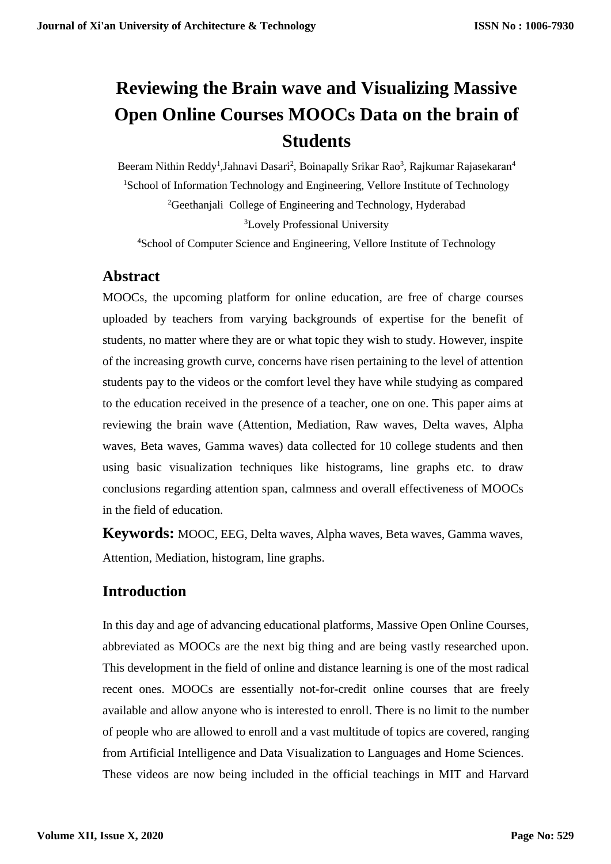# **Reviewing the Brain wave and Visualizing Massive Open Online Courses MOOCs Data on the brain of Students**

Beeram Nithin Reddy<sup>1</sup>, Jahnavi Dasari<sup>2</sup>, Boinapally Srikar Rao<sup>3</sup>, Rajkumar Rajasekaran<sup>4</sup> <sup>1</sup>School of Information Technology and Engineering, Vellore Institute of Technology <sup>2</sup>Geethanjali College of Engineering and Technology, Hyderabad <sup>3</sup>Lovely Professional University

<sup>4</sup>School of Computer Science and Engineering, Vellore Institute of Technology

### **Abstract**

MOOCs, the upcoming platform for online education, are free of charge courses uploaded by teachers from varying backgrounds of expertise for the benefit of students, no matter where they are or what topic they wish to study. However, inspite of the increasing growth curve, concerns have risen pertaining to the level of attention students pay to the videos or the comfort level they have while studying as compared to the education received in the presence of a teacher, one on one. This paper aims at reviewing the brain wave (Attention, Mediation, Raw waves, Delta waves, Alpha waves, Beta waves, Gamma waves) data collected for 10 college students and then using basic visualization techniques like histograms, line graphs etc. to draw conclusions regarding attention span, calmness and overall effectiveness of MOOCs in the field of education.

**Keywords:** MOOC, EEG, Delta waves, Alpha waves, Beta waves, Gamma waves, Attention, Mediation, histogram, line graphs.

# **Introduction**

In this day and age of advancing educational platforms, Massive Open Online Courses, abbreviated as MOOCs are the next big thing and are being vastly researched upon. This development in the field of online and distance learning is one of the most radical recent ones. MOOCs are essentially not-for-credit online courses that are freely available and allow anyone who is interested to enroll. There is no limit to the number of people who are allowed to enroll and a vast multitude of topics are covered, ranging from Artificial Intelligence and Data Visualization to Languages and Home Sciences. These videos are now being included in the official teachings in MIT and Harvard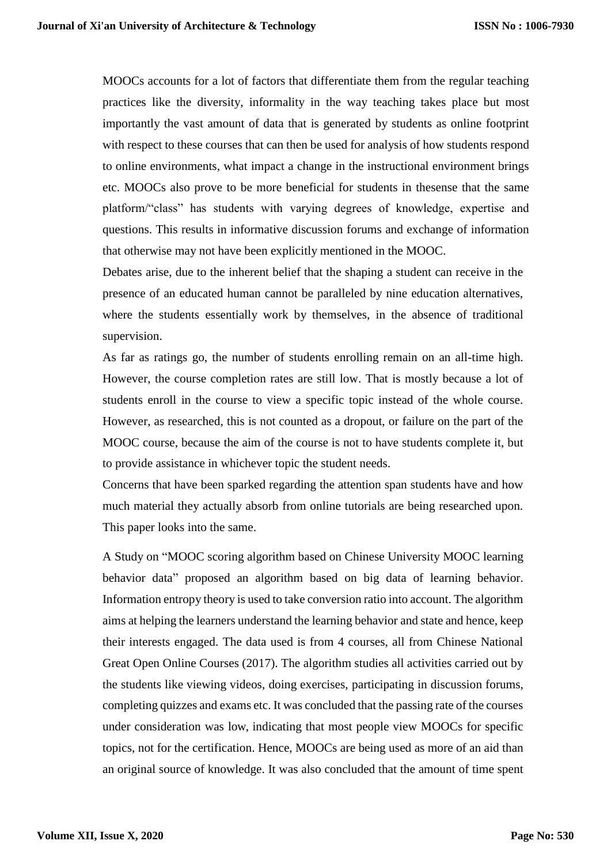MOOCs accounts for a lot of factors that differentiate them from the regular teaching practices like the diversity, informality in the way teaching takes place but most importantly the vast amount of data that is generated by students as online footprint with respect to these courses that can then be used for analysis of how students respond to online environments, what impact a change in the instructional environment brings etc. MOOCs also prove to be more beneficial for students in thesense that the same platform/"class" has students with varying degrees of knowledge, expertise and questions. This results in informative discussion forums and exchange of information that otherwise may not have been explicitly mentioned in the MOOC.

Debates arise, due to the inherent belief that the shaping a student can receive in the presence of an educated human cannot be paralleled by nine education alternatives, where the students essentially work by themselves, in the absence of traditional supervision.

As far as ratings go, the number of students enrolling remain on an all-time high. However, the course completion rates are still low. That is mostly because a lot of students enroll in the course to view a specific topic instead of the whole course. However, as researched, this is not counted as a dropout, or failure on the part of the MOOC course, because the aim of the course is not to have students complete it, but to provide assistance in whichever topic the student needs.

Concerns that have been sparked regarding the attention span students have and how much material they actually absorb from online tutorials are being researched upon. This paper looks into the same.

A Study on "MOOC scoring algorithm based on Chinese University MOOC learning behavior data" proposed an algorithm based on big data of learning behavior. Information entropy theory is used to take conversion ratio into account. The algorithm aims at helping the learners understand the learning behavior and state and hence, keep their interests engaged. The data used is from 4 courses, all from Chinese National Great Open Online Courses (2017). The algorithm studies all activities carried out by the students like viewing videos, doing exercises, participating in discussion forums, completing quizzes and exams etc. It was concluded that the passing rate of the courses under consideration was low, indicating that most people view MOOCs for specific topics, not for the certification. Hence, MOOCs are being used as more of an aid than an original source of knowledge. It was also concluded that the amount of time spent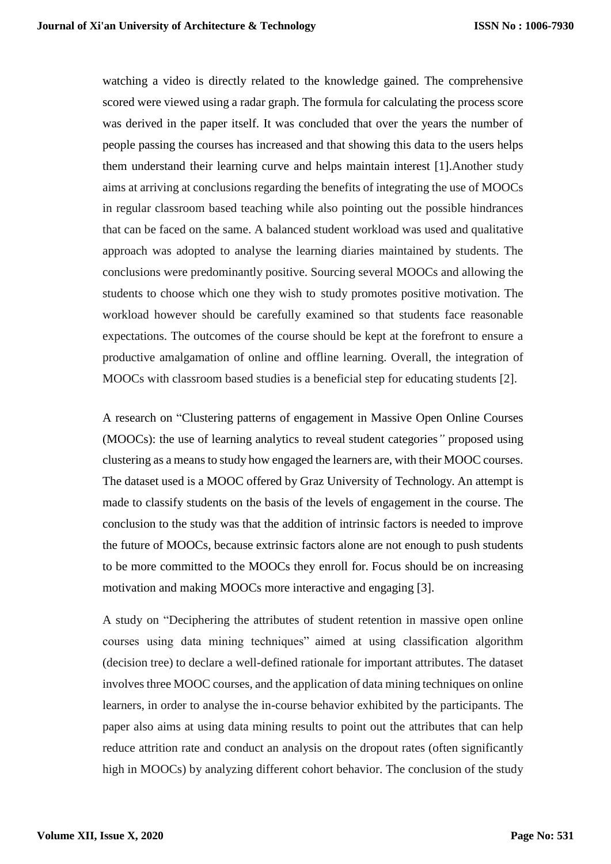watching a video is directly related to the knowledge gained. The comprehensive scored were viewed using a radar graph. The formula for calculating the process score was derived in the paper itself. It was concluded that over the years the number of people passing the courses has increased and that showing this data to the users helps them understand their learning curve and helps maintain interest [1].Another study aims at arriving at conclusions regarding the benefits of integrating the use of MOOCs in regular classroom based teaching while also pointing out the possible hindrances that can be faced on the same. A balanced student workload was used and qualitative approach was adopted to analyse the learning diaries maintained by students. The conclusions were predominantly positive. Sourcing several MOOCs and allowing the students to choose which one they wish to study promotes positive motivation. The workload however should be carefully examined so that students face reasonable expectations. The outcomes of the course should be kept at the forefront to ensure a productive amalgamation of online and offline learning. Overall, the integration of MOOCs with classroom based studies is a beneficial step for educating students [2].

A research on "Clustering patterns of engagement in Massive Open Online Courses (MOOCs): the use of learning analytics to reveal student categories*"* proposed using clustering as a means to study how engaged the learners are, with their MOOC courses. The dataset used is a MOOC offered by Graz University of Technology. An attempt is made to classify students on the basis of the levels of engagement in the course. The conclusion to the study was that the addition of intrinsic factors is needed to improve the future of MOOCs, because extrinsic factors alone are not enough to push students to be more committed to the MOOCs they enroll for. Focus should be on increasing motivation and making MOOCs more interactive and engaging [3].

A study on "Deciphering the attributes of student retention in massive open online courses using data mining techniques" aimed at using classification algorithm (decision tree) to declare a well-defined rationale for important attributes. The dataset involves three MOOC courses, and the application of data mining techniques on online learners, in order to analyse the in-course behavior exhibited by the participants. The paper also aims at using data mining results to point out the attributes that can help reduce attrition rate and conduct an analysis on the dropout rates (often significantly high in MOOCs) by analyzing different cohort behavior. The conclusion of the study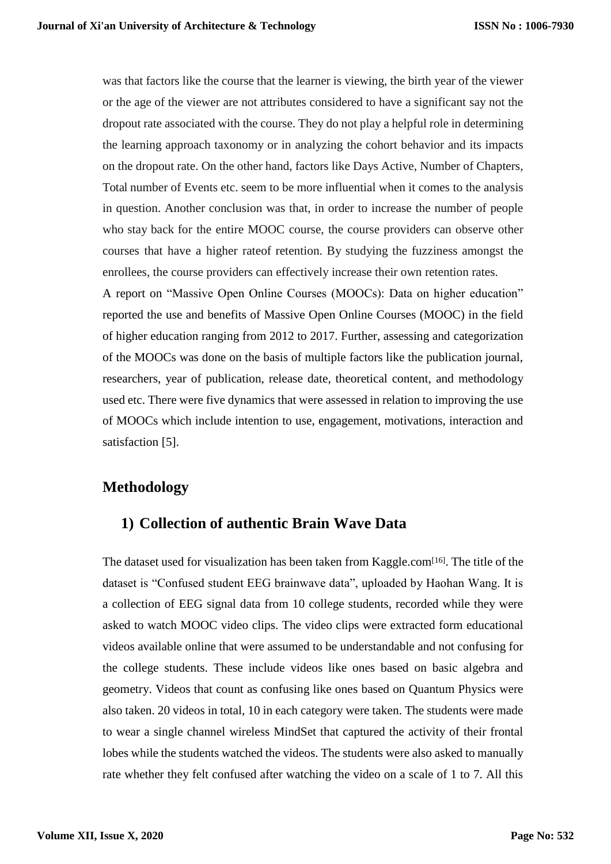was that factors like the course that the learner is viewing, the birth year of the viewer or the age of the viewer are not attributes considered to have a significant say not the dropout rate associated with the course. They do not play a helpful role in determining the learning approach taxonomy or in analyzing the cohort behavior and its impacts on the dropout rate. On the other hand, factors like Days Active, Number of Chapters, Total number of Events etc. seem to be more influential when it comes to the analysis in question. Another conclusion was that, in order to increase the number of people who stay back for the entire MOOC course, the course providers can observe other courses that have a higher rateof retention. By studying the fuzziness amongst the enrollees, the course providers can effectively increase their own retention rates.

A report on "Massive Open Online Courses (MOOCs): Data on higher education" reported the use and benefits of Massive Open Online Courses (MOOC) in the field of higher education ranging from 2012 to 2017. Further, assessing and categorization of the MOOCs was done on the basis of multiple factors like the publication journal, researchers, year of publication, release date, theoretical content, and methodology used etc. There were five dynamics that were assessed in relation to improving the use of MOOCs which include intention to use, engagement, motivations, interaction and satisfaction [5].

# **Methodology**

# **1) Collection of authentic Brain Wave Data**

The dataset used for visualization has been taken from Kaggle.com<sup>[16]</sup>. The title of the dataset is "Confused student EEG brainwave data", uploaded by Haohan Wang. It is a collection of EEG signal data from 10 college students, recorded while they were asked to watch MOOC video clips. The video clips were extracted form educational videos available online that were assumed to be understandable and not confusing for the college students. These include videos like ones based on basic algebra and geometry. Videos that count as confusing like ones based on Quantum Physics were also taken. 20 videos in total, 10 in each category were taken. The students were made to wear a single channel wireless MindSet that captured the activity of their frontal lobes while the students watched the videos. The students were also asked to manually rate whether they felt confused after watching the video on a scale of 1 to 7. All this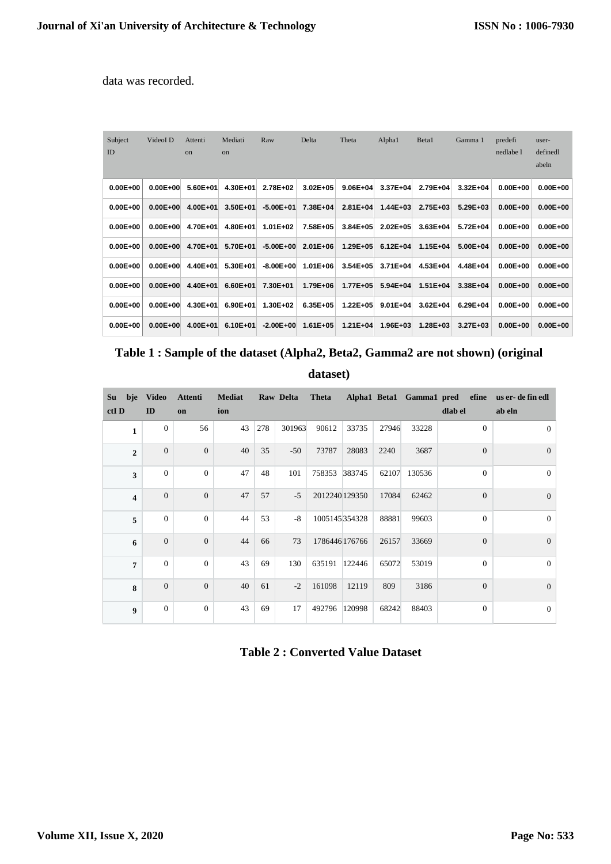data was recorded.

| Subject<br>ID | VideoI D     | Attenti<br><sub>on</sub> | Mediati<br><sub>on</sub> | Raw           | Delta        | Theta        | Alpha1       | Beta1        | Gamma 1      | predefi<br>nedlabe 1 | user-<br>definedl |
|---------------|--------------|--------------------------|--------------------------|---------------|--------------|--------------|--------------|--------------|--------------|----------------------|-------------------|
|               |              |                          |                          |               |              |              |              |              |              |                      | abeln             |
| $0.00E + 00$  | $0.00E + 00$ | 5.60E+01                 | 4.30E+01                 | 2.78E+02      | $3.02E + 05$ | $9.06E + 04$ | 3.37E+04     | 2.79E+04     | $3.32E + 04$ | $0.00E + 00$         | $0.00E + 00$      |
| $0.00E + 00$  | $0.00E + 00$ | 4.00E+01                 | 3.50E+01                 | $-5.00E + 01$ | 7.38E+04     | $2.81E + 04$ | $1.44E + 03$ | 2.75E+03     | 5.29E+03     | $0.00E + 00$         | $0.00E + 00$      |
| $0.00E + 00$  | $0.00E + 00$ | 4.70E+01                 | 4.80E+01                 | 1.01E+02      | 7.58E+05     | $3.84E + 05$ | $2.02E + 05$ | $3.63E + 04$ | 5.72E+04     | $0.00E + 00$         | $0.00E + 00$      |
| $0.00E + 00$  | $0.00E + 00$ | 4.70E+01                 | 5.70E+01                 | $-5.00E + 00$ | 2.01E+06     | 1.29E+05     | $6.12E + 04$ | $1.15E + 04$ | 5.00E+04     | $0.00E + 00$         | $0.00E + 00$      |
| $0.00E + 00$  | $0.00E + 00$ | 4.40E+01                 | 5.30E+01                 | $-8.00E + 00$ | $1.01E + 06$ | $3.54E + 05$ | 3.71E+04     | 4.53E+04     | 4.48E+04     | $0.00E + 00$         | $0.00E + 00$      |
| $0.00E + 00$  | $0.00E + 00$ | 4.40E+01                 | 6.60E+01                 | 7.30E+01      | 1.79E+06     | 1.77E+05     | 5.94E+04     | $1.51E + 04$ | 3.38E+04     | $0.00E + 00$         | $0.00E + 00$      |
| $0.00E + 00$  | $0.00E + 00$ | 4.30E+01                 | 6.90E+01                 | 1.30E+02      | 6.35E+05     | $1.22E + 05$ | $9.01E + 04$ | $3.62E + 04$ | 6.29E+04     | $0.00E + 00$         | $0.00E + 00$      |
| $0.00E + 00$  | $0.00E + 00$ | 4.00E+01                 | 6.10E+01                 | $-2.00E + 00$ | $1.61E + 05$ | $1.21E + 04$ | 1.96E+03     | $1.28E + 03$ | $3.27E + 03$ | $0.00E + 00$         | $0.00E + 00$      |

|  |  |  |  |  | Table 1 : Sample of the dataset (Alpha2, Beta2, Gamma2 are not shown) (original |  |
|--|--|--|--|--|---------------------------------------------------------------------------------|--|
|--|--|--|--|--|---------------------------------------------------------------------------------|--|

**dataset)**

| Su   | bje                     | <b>Video</b>     | Attenti          | <b>Mediat</b> |     | Raw Delta | <b>Theta</b>  |        |       | Alpha1 Beta1 Gamma1 pred | efine          | us er- de fin edl |
|------|-------------------------|------------------|------------------|---------------|-----|-----------|---------------|--------|-------|--------------------------|----------------|-------------------|
| ctID |                         | ID               | on               | ion           |     |           |               |        |       |                          | dlab el        | ab eln            |
|      | $\mathbf{1}$            | $\theta$         | 56               | 43            | 278 | 301963    | 90612         | 33735  | 27946 | 33228                    | $\Omega$       | $\mathbf{0}$      |
|      | $\overline{2}$          | $\mathbf{0}$     | $\mathbf{0}$     | 40            | 35  | $-50$     | 73787         | 28083  | 2240  | 3687                     | $\overline{0}$ | $\overline{0}$    |
|      | $\overline{\mathbf{3}}$ | $\Omega$         | $\mathbf{0}$     | 47            | 48  | 101       | 758353 383745 |        | 62107 | 130536                   | $\Omega$       | $\mathbf{0}$      |
|      | $\overline{\mathbf{4}}$ | $\mathbf{0}$     | $\mathbf{0}$     | 47            | 57  | $-5$      | 2012240129350 |        | 17084 | 62462                    | $\overline{0}$ | $\overline{0}$    |
|      | 5                       | $\theta$         | $\overline{0}$   | 44            | 53  | $-8$      | 1005145354328 |        | 88881 | 99603                    | $\mathbf{0}$   | $\mathbf{0}$      |
|      | 6                       | $\mathbf{0}$     | $\overline{0}$   | 44            | 66  | 73        | 1786446176766 |        | 26157 | 33669                    | $\Omega$       | $\mathbf{0}$      |
|      | $\overline{7}$          | $\mathbf{0}$     | $\mathbf{0}$     | 43            | 69  | 130       | 635191        | 122446 | 65072 | 53019                    | $\mathbf{0}$   | $\mathbf{0}$      |
|      | 8                       | $\mathbf{0}$     | $\overline{0}$   | 40            | 61  | $-2$      | 161098        | 12119  | 809   | 3186                     | $\overline{0}$ | $\mathbf{0}$      |
|      | $\boldsymbol{9}$        | $\boldsymbol{0}$ | $\boldsymbol{0}$ | 43            | 69  | 17        | 492796        | 120998 | 68242 | 88403                    | $\mathbf{0}$   | $\boldsymbol{0}$  |

**Table 2 : Converted Value Dataset**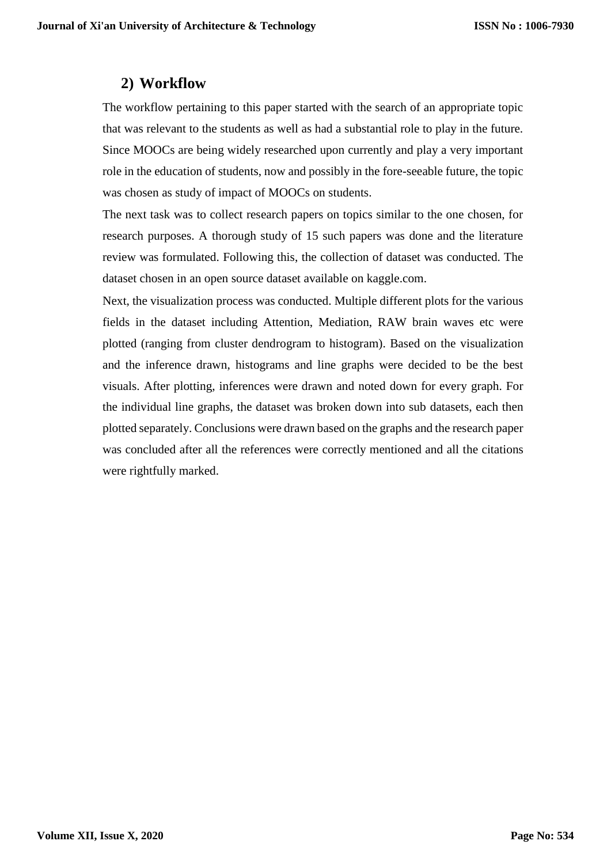#### **2) Workflow**

The workflow pertaining to this paper started with the search of an appropriate topic that was relevant to the students as well as had a substantial role to play in the future. Since MOOCs are being widely researched upon currently and play a very important role in the education of students, now and possibly in the fore-seeable future, the topic was chosen as study of impact of MOOCs on students.

The next task was to collect research papers on topics similar to the one chosen, for research purposes. A thorough study of 15 such papers was done and the literature review was formulated. Following this, the collection of dataset was conducted. The dataset chosen in an open source dataset available on kaggle.com.

Next, the visualization process was conducted. Multiple different plots for the various fields in the dataset including Attention, Mediation, RAW brain waves etc were plotted (ranging from cluster dendrogram to histogram). Based on the visualization and the inference drawn, histograms and line graphs were decided to be the best visuals. After plotting, inferences were drawn and noted down for every graph. For the individual line graphs, the dataset was broken down into sub datasets, each then plotted separately. Conclusions were drawn based on the graphs and the research paper was concluded after all the references were correctly mentioned and all the citations were rightfully marked.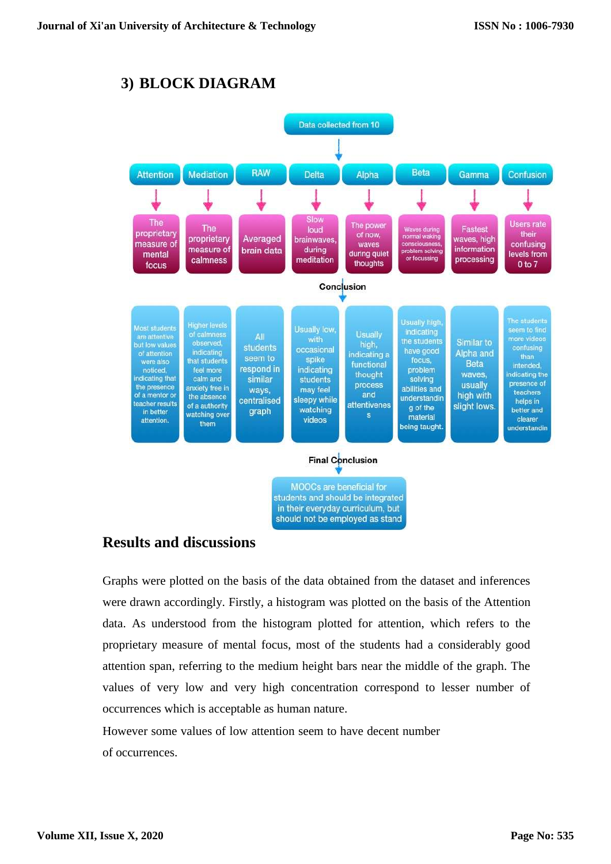# **3) BLOCK DIAGRAM**



#### **Results and discussions**

Graphs were plotted on the basis of the data obtained from the dataset and inferences were drawn accordingly. Firstly, a histogram was plotted on the basis of the Attention data. As understood from the histogram plotted for attention, which refers to the proprietary measure of mental focus, most of the students had a considerably good attention span, referring to the medium height bars near the middle of the graph. The values of very low and very high concentration correspond to lesser number of occurrences which is acceptable as human nature.

However some values of low attention seem to have decent number of occurrences.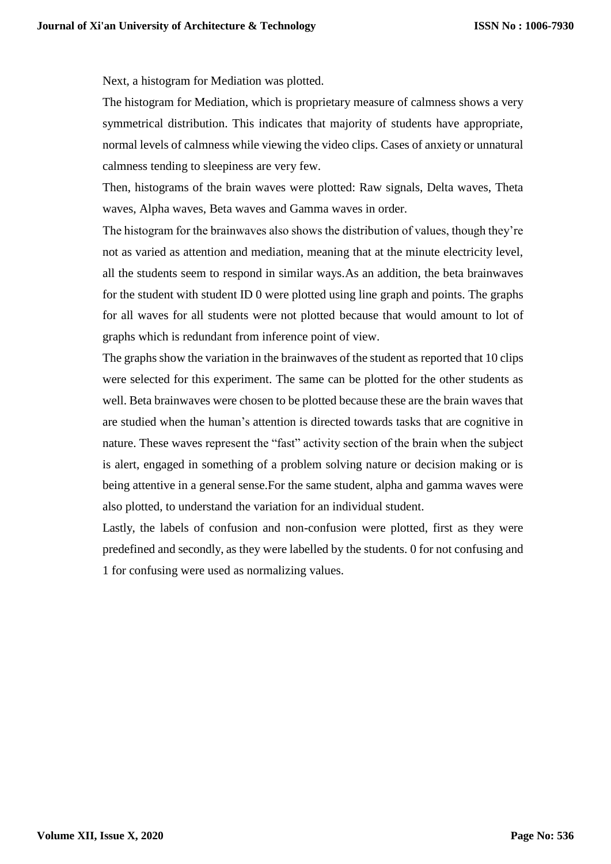Next, a histogram for Mediation was plotted.

The histogram for Mediation, which is proprietary measure of calmness shows a very symmetrical distribution. This indicates that majority of students have appropriate, normal levels of calmness while viewing the video clips. Cases of anxiety or unnatural calmness tending to sleepiness are very few.

Then, histograms of the brain waves were plotted: Raw signals, Delta waves, Theta waves, Alpha waves, Beta waves and Gamma waves in order.

The histogram for the brainwaves also shows the distribution of values, though they're not as varied as attention and mediation, meaning that at the minute electricity level, all the students seem to respond in similar ways.As an addition, the beta brainwaves for the student with student ID 0 were plotted using line graph and points. The graphs for all waves for all students were not plotted because that would amount to lot of graphs which is redundant from inference point of view.

The graphs show the variation in the brainwaves of the student as reported that 10 clips were selected for this experiment. The same can be plotted for the other students as well. Beta brainwaves were chosen to be plotted because these are the brain waves that are studied when the human's attention is directed towards tasks that are cognitive in nature. These waves represent the "fast" activity section of the brain when the subject is alert, engaged in something of a problem solving nature or decision making or is being attentive in a general sense.For the same student, alpha and gamma waves were also plotted, to understand the variation for an individual student.

Lastly, the labels of confusion and non-confusion were plotted, first as they were predefined and secondly, as they were labelled by the students. 0 for not confusing and 1 for confusing were used as normalizing values.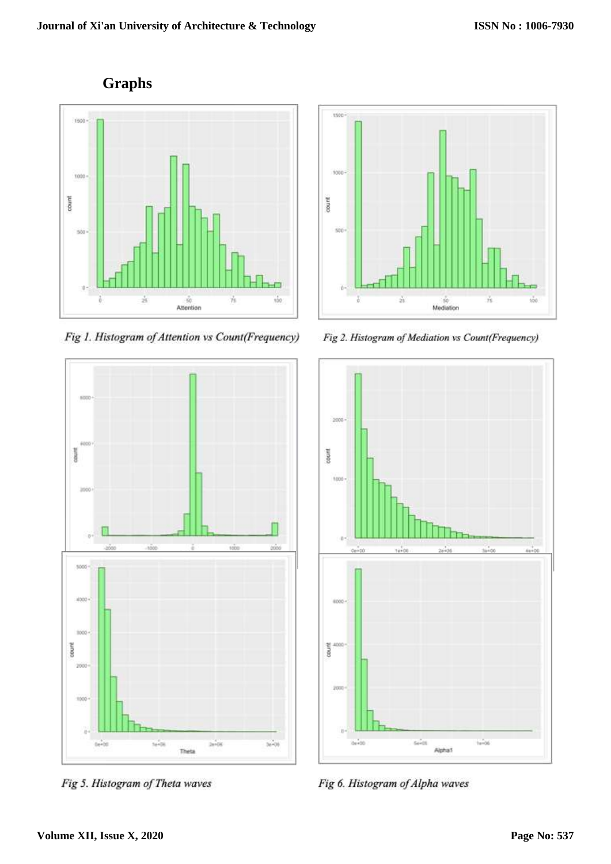

Fig 1. Histogram of Attention vs Count(Frequency)



Fig 5. Histogram of Theta waves



Fig 2. Histogram of Mediation vs Count(Frequency)



Fig 6. Histogram of Alpha waves

# **Graphs**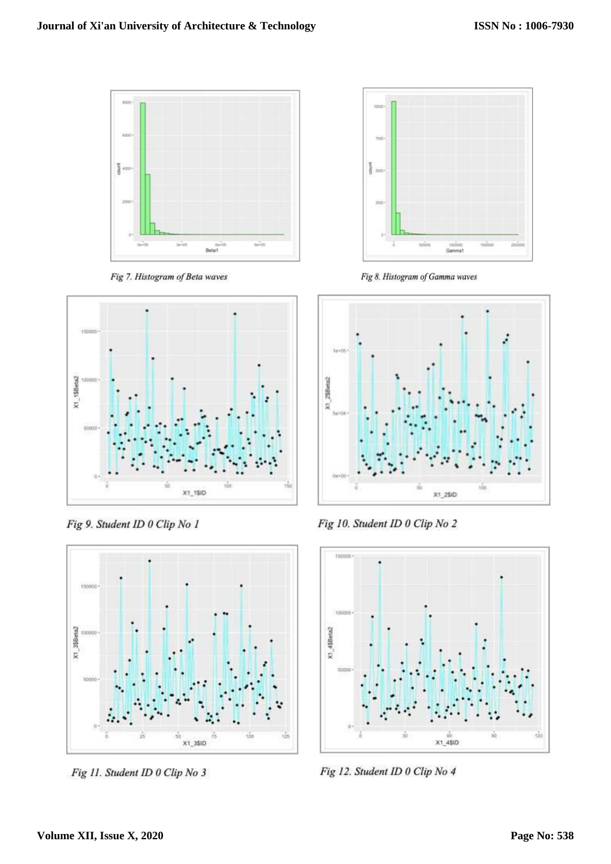

Fig 7. Histogram of Beta waves



Fig 9. Student ID 0 Clip No 1



Fig 11. Student ID 0 Clip No 3



Fig 8. Histogram of Gamma waves



Fig 10. Student ID 0 Clip No 2



Fig 12. Student ID 0 Clip No 4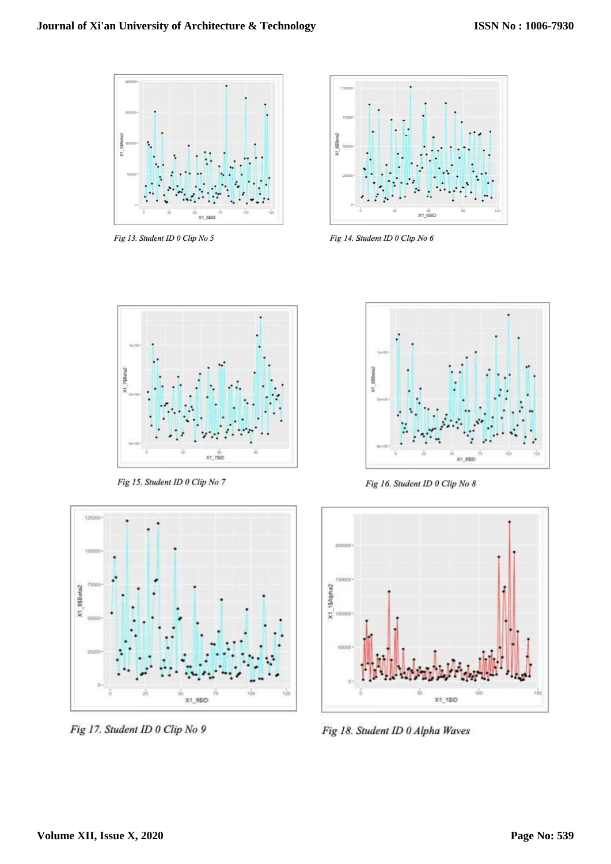

Fig 13. Student ID 0 Clip No 5



Fig 14. Student ID 0 Clip No 6



Fig 15. Student ID 0 Clip No 7



Fig 17. Student ID 0 Clip No 9



Fig 16. Student ID 0 Clip No 8



Fig 18. Student ID 0 Alpha Waves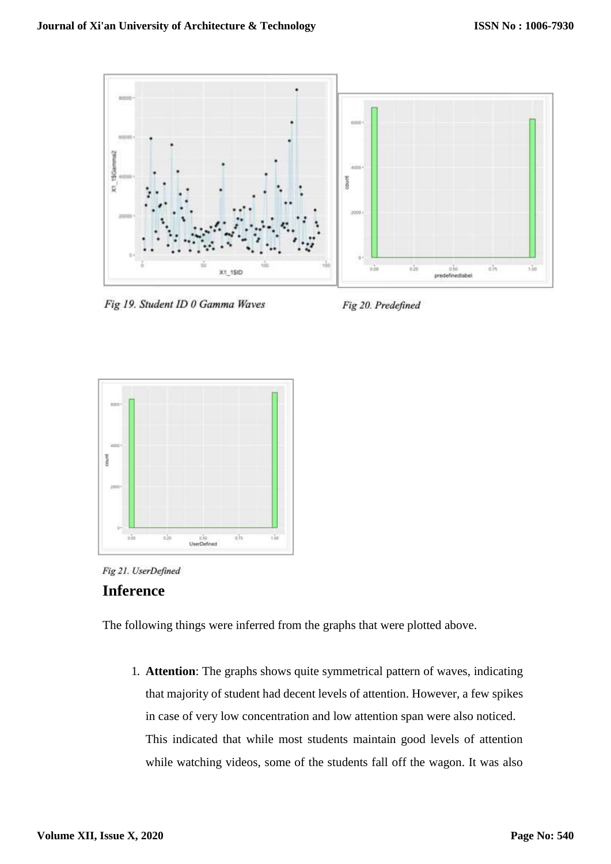

Fig 19. Student ID 0 Gamma Waves

Fig 20. Predefined





#### **Inference**

The following things were inferred from the graphs that were plotted above.

1. **Attention**: The graphs shows quite symmetrical pattern of waves, indicating that majority of student had decent levels of attention. However, a few spikes in case of very low concentration and low attention span were also noticed. This indicated that while most students maintain good levels of attention while watching videos, some of the students fall off the wagon. It was also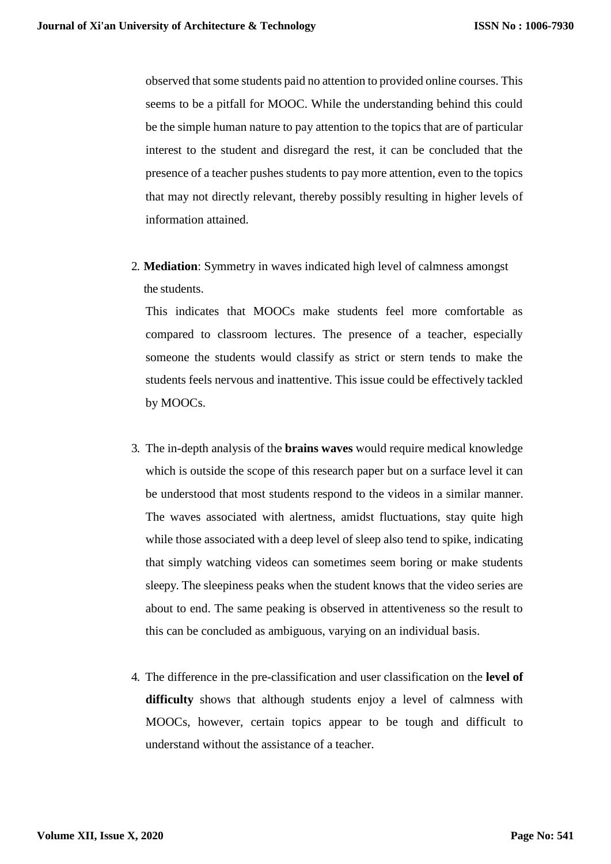observed that some students paid no attention to provided online courses. This seems to be a pitfall for MOOC. While the understanding behind this could be the simple human nature to pay attention to the topics that are of particular interest to the student and disregard the rest, it can be concluded that the presence of a teacher pushes students to pay more attention, even to the topics that may not directly relevant, thereby possibly resulting in higher levels of information attained.

2. **Mediation**: Symmetry in waves indicated high level of calmness amongst the students.

This indicates that MOOCs make students feel more comfortable as compared to classroom lectures. The presence of a teacher, especially someone the students would classify as strict or stern tends to make the students feels nervous and inattentive. This issue could be effectively tackled by MOOCs.

- 3. The in-depth analysis of the **brains waves** would require medical knowledge which is outside the scope of this research paper but on a surface level it can be understood that most students respond to the videos in a similar manner. The waves associated with alertness, amidst fluctuations, stay quite high while those associated with a deep level of sleep also tend to spike, indicating that simply watching videos can sometimes seem boring or make students sleepy. The sleepiness peaks when the student knows that the video series are about to end. The same peaking is observed in attentiveness so the result to this can be concluded as ambiguous, varying on an individual basis.
- 4. The difference in the pre-classification and user classification on the **level of difficulty** shows that although students enjoy a level of calmness with MOOCs, however, certain topics appear to be tough and difficult to understand without the assistance of a teacher.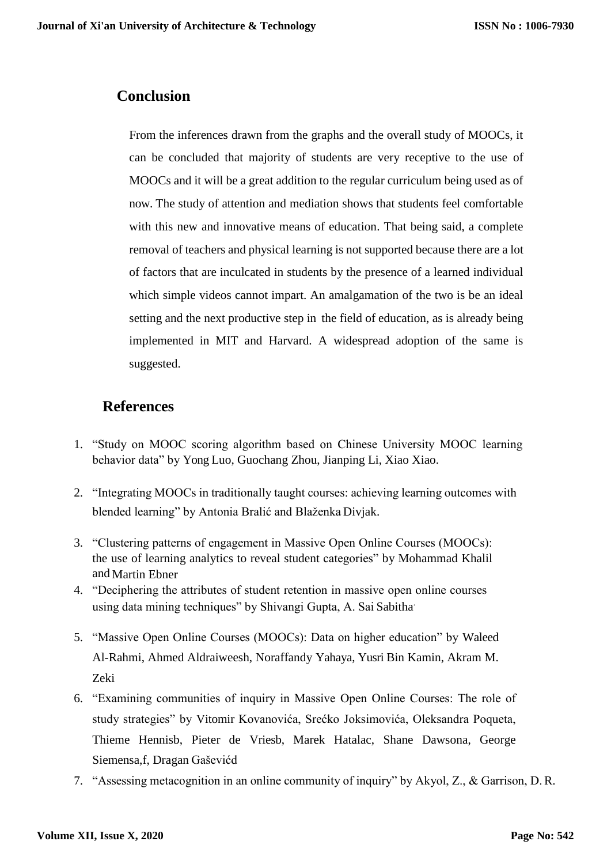#### **Conclusion**

From the inferences drawn from the graphs and the overall study of MOOCs, it can be concluded that majority of students are very receptive to the use of MOOCs and it will be a great addition to the regular curriculum being used as of now. The study of attention and mediation shows that students feel comfortable with this new and innovative means of education. That being said, a complete removal of teachers and physical learning is not supported because there are a lot of factors that are inculcated in students by the presence of a learned individual which simple videos cannot impart. An amalgamation of the two is be an ideal setting and the next productive step in the field of education, as is already being implemented in MIT and Harvard. A widespread adoption of the same is suggested.

#### **References**

- 1. "Study on MOOC scoring algorithm based on Chinese University MOOC learning behavior data" by Yong Luo, Guochang Zhou, Jianping Li, Xiao Xiao.
- 2. "Integrating MOOCs in traditionally taught courses: achieving learning outcomes with blended learning" by Antonia Bralić and Blaženka Divjak.
- 3. "Clustering patterns of engagement in Massive Open Online Courses (MOOCs): the use of learning analytics to reveal student categories" by Mohammad Khalil and Martin Ebner
- 4. "Deciphering the attributes of student retention in massive open online courses using data mining techniques" by Shivangi Gupta, A. Sai Sabitha.
- 5. "Massive Open Online Courses (MOOCs): Data on higher education" by Waleed Al-Rahmi, Ahmed Aldraiweesh, Noraffandy Yahaya, Yusri Bin Kamin, Akram M. Zeki
- 6. "Examining communities of inquiry in Massive Open Online Courses: The role of study strategies" by Vitomir Kovanovića, Srećko Joksimovića, Oleksandra Poqueta, Thieme Hennisb, Pieter de Vriesb, Marek Hatalac, Shane Dawsona, George Siemensa,f, Dragan Gaševićd
- 7. "Assessing metacognition in an online community of inquiry" by Akyol, Z., & Garrison, D.R.